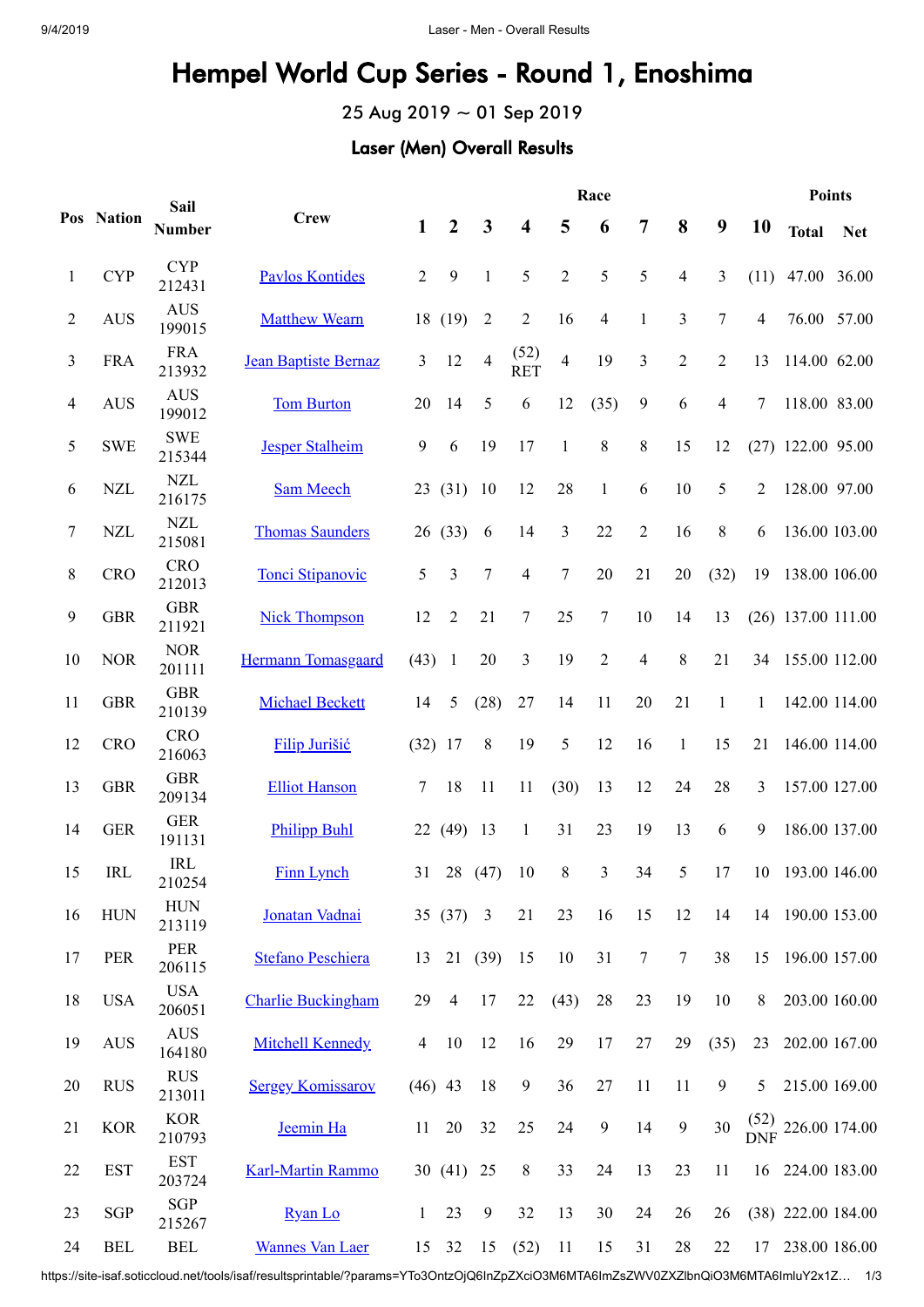## Hempel World Cup Series - Round 1, Enoshima

25 Aug 2019 ~ 01 Sep 2019

## Laser (Men) Overall Results

|                | Pos Nation                | Sail<br><b>Number</b> | <b>Crew</b>                 | Race             |                |                |                         |                |                |                |                |                |                | <b>Points</b>                    |               |  |
|----------------|---------------------------|-----------------------|-----------------------------|------------------|----------------|----------------|-------------------------|----------------|----------------|----------------|----------------|----------------|----------------|----------------------------------|---------------|--|
|                |                           |                       |                             | $\mathbf{1}$     | $\overline{2}$ | $\mathbf{3}$   | $\overline{\mathbf{4}}$ | 5              | 6              | $\overline{7}$ | 8              | 9              | 10             | <b>Total</b>                     | <b>Net</b>    |  |
| $\mathbf{1}$   | <b>CYP</b>                | <b>CYP</b><br>212431  | <b>Pavlos Kontides</b>      | $\overline{2}$   | 9              | 1              | 5                       | $\overline{2}$ | 5              | 5              | 4              | 3              | (11)           | 47.00                            | 36.00         |  |
| $\overline{2}$ | <b>AUS</b>                | <b>AUS</b><br>199015  | <b>Matthew Wearn</b>        |                  | 18 (19)        | $\overline{2}$ | $\overline{2}$          | 16             | $\overline{4}$ | $\mathbf{1}$   | 3              | $\tau$         | $\overline{4}$ | 76.00 57.00                      |               |  |
| 3              | <b>FRA</b>                | <b>FRA</b><br>213932  | <b>Jean Baptiste Bernaz</b> | $\mathfrak{Z}$   | 12             | $\overline{4}$ | (52)<br><b>RET</b>      | $\overline{4}$ | 19             | 3              | $\overline{2}$ | $\overline{2}$ | 13             | 114.00 62.00                     |               |  |
| 4              | <b>AUS</b>                | <b>AUS</b><br>199012  | <b>Tom Burton</b>           | 20               | 14             | 5              | 6                       | 12             | (35)           | 9              | 6              | $\overline{4}$ | 7              | 118.00 83.00                     |               |  |
| 5              | <b>SWE</b>                | <b>SWE</b><br>215344  | <b>Jesper Stalheim</b>      | $\boldsymbol{9}$ | 6              | 19             | 17                      | $\mathbf{1}$   | $8\,$          | $8\,$          | 15             | 12             |                | $(27)$ 122.00 95.00              |               |  |
| 6              | $\ensuremath{\text{NZL}}$ | <b>NZL</b><br>216175  | <b>Sam Meech</b>            |                  | 23(31)         | 10             | 12                      | 28             | $\mathbf{1}$   | 6              | $10\,$         | 5              | $\overline{2}$ | 128.00 97.00                     |               |  |
| 7              | <b>NZL</b>                | <b>NZL</b><br>215081  | <b>Thomas Saunders</b>      |                  | 26 (33)        | 6              | 14                      | 3              | 22             | $\overline{2}$ | 16             | $8\,$          | 6              |                                  | 136.00 103.00 |  |
| 8              | <b>CRO</b>                | <b>CRO</b><br>212013  | <b>Tonci Stipanovic</b>     | $\mathfrak{S}$   | 3              | $\overline{7}$ | 4                       | $\tau$         | 20             | 21             | 20             | (32)           | 19             | 138.00 106.00                    |               |  |
| 9              | <b>GBR</b>                | <b>GBR</b><br>211921  | <b>Nick Thompson</b>        | 12               | $\overline{2}$ | 21             | $\overline{7}$          | 25             | $\overline{7}$ | 10             | 14             | 13             |                | $(26)$ 137.00 111.00             |               |  |
| 10             | <b>NOR</b>                | <b>NOR</b><br>201111  | Hermann Tomasgaard          | (43)             | $\overline{1}$ | 20             | 3                       | 19             | $\overline{2}$ | $\overline{4}$ | 8              | 21             | 34             | 155.00 112.00                    |               |  |
| 11             | <b>GBR</b>                | <b>GBR</b><br>210139  | <b>Michael Beckett</b>      | 14               | 5              | (28)           | 27                      | 14             | 11             | 20             | 21             | $\mathbf{1}$   | $\mathbf{1}$   | 142.00 114.00                    |               |  |
| 12             | <b>CRO</b>                | <b>CRO</b><br>216063  | <b>Filip Jurišić</b>        | $(32)$ 17        |                | 8              | 19                      | 5              | 12             | 16             | $\mathbf{1}$   | 15             | 21             | 146.00 114.00                    |               |  |
| 13             | <b>GBR</b>                | <b>GBR</b><br>209134  | <b>Elliot Hanson</b>        | $\tau$           | 18             | 11             | 11                      | (30)           | 13             | 12             | 24             | 28             | 3              | 157.00 127.00                    |               |  |
| 14             | <b>GER</b>                | <b>GER</b><br>191131  | <b>Philipp Buhl</b>         | 22               | (49)           | 13             | $\mathbf{1}$            | 31             | 23             | 19             | 13             | 6              | 9              |                                  | 186.00 137.00 |  |
| 15             | <b>IRL</b>                | IRL<br>210254         | <b>Finn Lynch</b>           | 31               | 28             | (47)           | 10                      | $8\,$          | 3              | 34             | 5              | 17             | 10             | 193.00 146.00                    |               |  |
| 16             | <b>HUN</b>                | <b>HUN</b><br>213119  | Jonatan Vadnai              |                  | $35(37)$ 3     |                | 21                      | 23             | 16             | 15             | 12             | 14             |                | 14 190.00 153.00                 |               |  |
| 17             | PER                       | PER<br>206115         | <b>Stefano Peschiera</b>    | 13               |                | 21(39)         | 15                      | 10             | 31             | 7              | 7              | 38             | 15             | 196.00 157.00                    |               |  |
| 18             | <b>USA</b>                | <b>USA</b><br>206051  | <b>Charlie Buckingham</b>   | 29               | $\overline{4}$ | 17             | 22                      | (43)           | 28             | 23             | 19             | 10             | 8              | 203.00 160.00                    |               |  |
| 19             | <b>AUS</b>                | <b>AUS</b><br>164180  | <b>Mitchell Kennedy</b>     | $\overline{4}$   | 10             | 12             | 16                      | 29             | 17             | 27             | 29             | (35)           | 23             | 202.00 167.00                    |               |  |
| 20             | <b>RUS</b>                | <b>RUS</b><br>213011  | <b>Sergey Komissarov</b>    | $(46)$ 43        |                | 18             | $\boldsymbol{9}$        | 36             | $27\,$         | 11             | 11             | 9              | 5              | 215.00 169.00                    |               |  |
| 21             | <b>KOR</b>                | <b>KOR</b><br>210793  | Jeemin Ha                   | 11               | 20             | 32             | 25                      | 24             | $\mathbf{9}$   | 14             | $\mathbf{9}$   | 30             |                | $\frac{(52)}{DNF}$ 226.00 174.00 |               |  |
| 22             | <b>EST</b>                | <b>EST</b><br>203724  | <b>Karl-Martin Rammo</b>    |                  | 30 $(41)$      | 25             | $8\phantom{.0}$         | 33             | 24             | 13             | 23             | 11             |                | 16 224.00 183.00                 |               |  |
| 23             | <b>SGP</b>                | SGP<br>215267         | Ryan Lo                     | 1                | 23             | 9              | 32                      | 13             | 30             | 24             | 26             | 26             |                | $(38)$ 222.00 184.00             |               |  |
| 24             | <b>BEL</b>                | <b>BEL</b>            | <b>Wannes Van Laer</b>      |                  | 15 32          | 15             | (52)                    | 11             | 15             | 31             | 28             | 22             | 17             | 238.00 186.00                    |               |  |

https://site-isaf.soticcloud.net/tools/isaf/resultsprintable/?params=YTo3OntzOjQ6InZpZXciO3M6MTA6ImZsZWV0ZXZlbnQiO3M6MTA6ImluY2x1Z… 1/3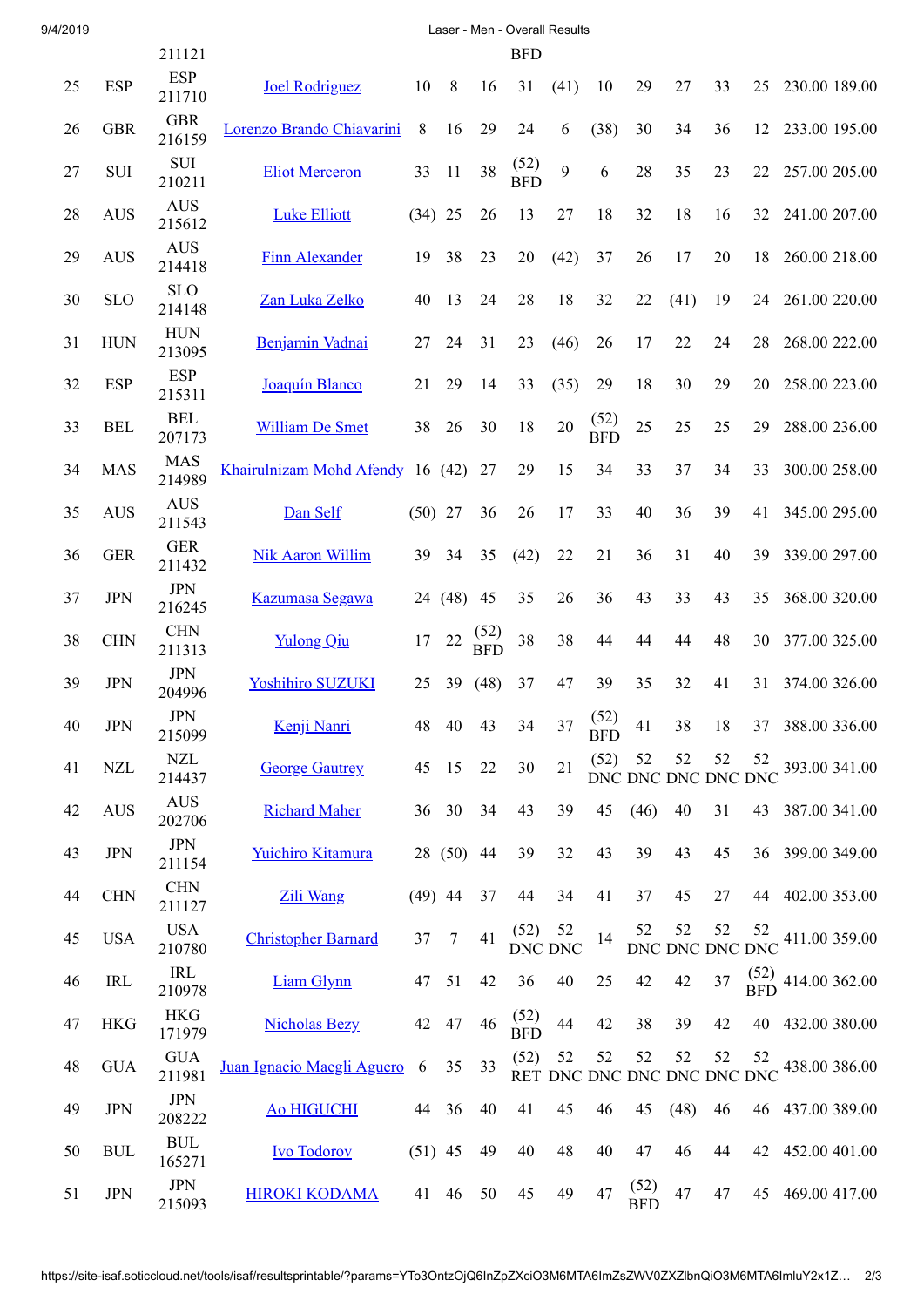| 9/4/2019 | Laser - Men - Overall Results |                        |                                     |           |                |                    |                    |                 |                    |                    |      |                                   |               |                  |  |
|----------|-------------------------------|------------------------|-------------------------------------|-----------|----------------|--------------------|--------------------|-----------------|--------------------|--------------------|------|-----------------------------------|---------------|------------------|--|
|          |                               | 211121                 |                                     |           |                |                    | <b>BFD</b>         |                 |                    |                    |      |                                   |               |                  |  |
| 25       | <b>ESP</b>                    | <b>ESP</b><br>211710   | <b>Joel Rodriguez</b>               | 10        | 8              | 16                 | 31                 | (41)            | 10                 | 29                 | 27   | 33                                | 25            | 230.00 189.00    |  |
| 26       | <b>GBR</b>                    | <b>GBR</b><br>216159   | Lorenzo Brando Chiavarini           | 8         | 16             | 29                 | 24                 | 6               | (38)               | 30                 | 34   | 36                                | 12            | 233.00 195.00    |  |
| 27       | SUI                           | $\rm SUI$<br>210211    | <b>Eliot Merceron</b>               | 33        | 11             | 38                 | (52)<br><b>BFD</b> | 9               | 6                  | 28                 | 35   | 23                                | 22            | 257.00 205.00    |  |
| 28       | <b>AUS</b>                    | <b>AUS</b><br>215612   | <b>Luke Elliott</b>                 | $(34)$ 25 |                | 26                 | 13                 | 27              | 18                 | 32                 | 18   | 16                                | 32            | 241.00 207.00    |  |
| 29       | <b>AUS</b>                    | <b>AUS</b><br>214418   | <b>Finn Alexander</b>               | 19        | 38             | 23                 | 20                 | (42)            | 37                 | 26                 | 17   | 20                                | 18            | 260.00 218.00    |  |
| 30       | <b>SLO</b>                    | <b>SLO</b><br>214148   | Zan Luka Zelko                      | 40        | 13             | 24                 | 28                 | 18              | 32                 | 22                 | (41) | 19                                | 24            | 261.00 220.00    |  |
| 31       | <b>HUN</b>                    | <b>HUN</b><br>213095   | Benjamin Vadnai                     | 27        | 24             | 31                 | 23                 | (46)            | 26                 | 17                 | 22   | 24                                | 28            | 268.00 222.00    |  |
| 32       | <b>ESP</b>                    | <b>ESP</b><br>215311   | Joaquín Blanco                      | 21        | 29             | 14                 | 33                 | (35)            | 29                 | 18                 | 30   | 29                                | 20            | 258.00 223.00    |  |
| 33       | <b>BEL</b>                    | <b>BEL</b><br>207173   | <b>William De Smet</b>              | 38        | 26             | 30                 | 18                 | 20              | (52)<br><b>BFD</b> | 25                 | 25   | 25                                | 29            | 288.00 236.00    |  |
| 34       | <b>MAS</b>                    | <b>MAS</b><br>214989   | Khairulnizam Mohd Afendy 16 (42) 27 |           |                |                    | 29                 | 15              | 34                 | 33                 | 37   | 34                                | 33            | 300.00 258.00    |  |
| 35       | <b>AUS</b>                    | <b>AUS</b><br>211543   | Dan Self                            | $(50)$ 27 |                | 36                 | 26                 | 17              | 33                 | 40                 | 36   | 39                                | 41            | 345.00 295.00    |  |
| 36       | <b>GER</b>                    | <b>GER</b><br>211432   | <b>Nik Aaron Willim</b>             |           | 39 34          | 35                 | (42)               | 22              | 21                 | 36                 | 31   | 40                                | 39            | 339.00 297.00    |  |
| 37       | <b>JPN</b>                    | <b>JPN</b><br>216245   | <b>Kazumasa Segawa</b>              |           | 24 (48) 45     |                    | 35                 | 26              | 36                 | 43                 | 33   | 43                                | 35            | 368.00 320.00    |  |
| 38       | <b>CHN</b>                    | <b>CHN</b><br>211313   | <b>Yulong Qiu</b>                   | 17        | $22\,$         | (52)<br><b>BFD</b> | 38                 | 38              | 44                 | 44                 | 44   | 48                                | 30            | 377.00 325.00    |  |
| 39       | <b>JPN</b>                    | <b>JPN</b><br>204996   | <b>Yoshihiro SUZUKI</b>             | 25        | 39             | (48)               | 37                 | 47              | 39                 | 35                 | 32   | 41                                | 31            | 374.00 326.00    |  |
| 40       | <b>JPN</b>                    | $\mbox{JPN}$<br>215099 | Kenji Nanri                         | 48        | 40             | 43                 | 34                 | 37              | (52)<br><b>BFD</b> | 41                 | 38   | 18                                |               | 37 388.00 336.00 |  |
| 41       | <b>NZL</b>                    | <b>NZL</b><br>214437   | <b>George Gautrey</b>               |           | 45 15          | 22                 | 30                 | 21              | (52)               | 52                 | 52   | 52<br>DNC DNC DNC DNC DNC         | 52            | 393.00 341.00    |  |
| 42       | <b>AUS</b>                    | <b>AUS</b><br>202706   | <b>Richard Maher</b>                |           | 36 30          | 34                 | 43                 | 39              | 45                 | (46)               | 40   | 31                                |               | 43 387.00 341.00 |  |
| 43       | <b>JPN</b>                    | $\mbox{JPN}$<br>211154 | Yuichiro Kitamura                   |           | 28 (50) 44     |                    | 39                 | 32              | 43                 | 39                 | 43   | 45                                |               | 36 399.00 349.00 |  |
| 44       | <b>CHN</b>                    | <b>CHN</b><br>211127   | Zili Wang                           | $(49)$ 44 |                | 37                 | 44                 | 34              | 41                 | 37                 | 45   | 27                                |               | 44 402.00 353.00 |  |
| 45       | <b>USA</b>                    | <b>USA</b><br>210780   | <b>Christopher Barnard</b>          | 37        | $\overline{7}$ | 41                 | (52)               | - 52<br>DNC DNC | 14                 | 52                 | 52   | 52<br>DNC DNC DNC DNC             | 52            | 411.00 359.00    |  |
| 46       | <b>IRL</b>                    | IRL<br>210978          | Liam Glynn                          | 47 51     |                | 42                 | 36                 | 40              | 25                 | 42                 | 42   | 37                                | $(52)$<br>BFD | 414.00 362.00    |  |
| 47       | <b>HKG</b>                    | <b>HKG</b><br>171979   | <b>Nicholas Bezy</b>                | 42        | 47             | 46                 | (52)<br><b>BFD</b> | 44              | 42                 | 38                 | 39   | 42                                | 40            | 432.00 380.00    |  |
| 48       | <b>GUA</b>                    | <b>GUA</b><br>211981   | Juan Ignacio Maegli Aguero 6        |           | 35             | 33                 | (52)               | 52              | 52                 | 52                 | 52   | 52<br>RET DNC DNC DNC DNC DNC DNC | 52            | 438.00 386.00    |  |
| 49       | <b>JPN</b>                    | $\mbox{JPN}$<br>208222 | <b>Ao HIGUCHI</b>                   |           | 44 36          | 40                 | 41                 | 45              | 46                 | 45                 | (48) | 46                                |               | 46 437.00 389.00 |  |
| 50       | <b>BUL</b>                    | <b>BUL</b><br>165271   | <b>Ivo Todorov</b>                  | $(51)$ 45 |                | 49                 | 40                 | 48              | 40                 | 47                 | 46   | 44                                | 42            | 452.00 401.00    |  |
| 51       | <b>JPN</b>                    | <b>JPN</b><br>215093   | <b>HIROKI KODAMA</b>                | 41        | 46             | 50                 | 45                 | 49              | 47                 | (52)<br><b>BFD</b> | 47   | 47                                | 45            | 469.00 417.00    |  |